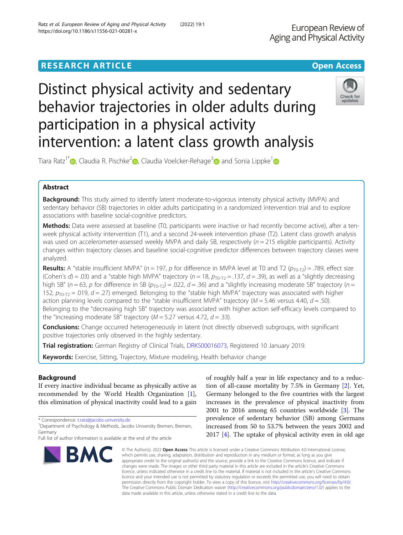# **RESEARCH ARTICLE Example 2018 12:30 THE OPEN ACCESS**

# Distinct physical activity and sedentary behavior trajectories in older adults during participation in a physical activity intervention: a latent class growth analysis

Tiara Ratz<sup>1[\\*](http://orcid.org/0000-0002-7985-7386)</sup>  $\bullet$ , Claudia R. Pischke<sup>[2](https://orcid.org/0000-0002-2256-8903)</sup> $\bullet$ , Claudia Voelcker-Rehage<sup>3</sup> and Sonia Lippke<sup>1</sup>

# Abstract

Background: This study aimed to identify latent moderate-to-vigorous intensity physical activity (MVPA) and sedentary behavior (SB) trajectories in older adults participating in a randomized intervention trial and to explore associations with baseline social-cognitive predictors.

Methods: Data were assessed at baseline (T0, participants were inactive or had recently become active), after a tenweek physical activity intervention (T1), and a second 24-week intervention phase (T2). Latent class growth analysis was used on accelerometer-assessed weekly MVPA and daily SB, respectively ( $n = 215$  eligible participants). Activity changes within trajectory classes and baseline social-cognitive predictor differences between trajectory classes were analyzed.

**Results:** A "stable insufficient MVPA" ( $n = 197$ ,  $p$  for difference in MVPA level at T0 and T2 ( $p_{\text{TO-T2}}) = .789$ , effect size (Cohen's  $d$ ) = .03) and a "stable high MVPA" trajectory ( $n = 18$ ,  $p_{\text{To-T2}} = .137$ ,  $d = .39$ ), as well as a "slightly decreasing high SB" ( $n = 63$ , p for difference in SB ( $p_{\text{To-T}}$ ) = .022,  $d = 0.36$ ) and a "slightly increasing moderate SB" trajectory ( $n =$ 152,  $p_{\text{TO-T2}} = .019$ ,  $d = .27$ ) emerged. Belonging to the "stable high MVPA" trajectory was associated with higher action planning levels compared to the "stable insufficient MVPA" trajectory ( $M = 5.46$  versus 4.40,  $d = .50$ ). Belonging to the "decreasing high SB" trajectory was associated with higher action self-efficacy levels compared to the "increasing moderate SB" trajectory ( $M = 5.27$  versus 4.72,  $d = .33$ ).

**Conclusions:** Change occurred heterogeneously in latent (not directly observed) subgroups, with significant positive trajectories only observed in the highly sedentary.

Trial registration: German Registry of Clinical Trials, [DRKS00016073](https://tinyurl.com/y983586m), Registered 10 January 2019.

Keywords: Exercise, Sitting, Trajectory, Mixture modeling, Health behavior change

# Background

If every inactive individual became as physically active as recommended by the World Health Organization [\[1](#page-9-0)], this elimination of physical inactivity could lead to a gain

\* Correspondence: [t.ratz@jacobs-university.de](mailto:t.ratz@jacobs-university.de) <sup>1</sup>

# tion of all-cause mortality by 7.5% in Germany [[2\]](#page-9-0). Yet, Germany belonged to the five countries with the largest increases in the prevalence of physical inactivity from 2001 to 2016 among 65 countries worldwide [\[3](#page-9-0)]. The prevalence of sedentary behavior (SB) among Germans increased from 50 to 53.7% between the years 2002 and 2017 [[4\]](#page-9-0). The uptake of physical activity even in old age

of roughly half a year in life expectancy and to a reduc-

© The Author(s), 2022 **Open Access** This article is licensed under a Creative Commons Attribution 4.0 International License, which permits use, sharing, adaptation, distribution and reproduction in any medium or format, as long as you give appropriate credit to the original author(s) and the source, provide a link to the Creative Commons licence, and indicate if changes were made. The images or other third party material in this article are included in the article's Creative Commons licence, unless indicated otherwise in a credit line to the material. If material is not included in the article's Creative Commons licence and your intended use is not permitted by statutory regulation or exceeds the permitted use, you will need to obtain permission directly from the copyright holder. To view a copy of this licence, visit [http://creativecommons.org/licenses/by/4.0/.](http://creativecommons.org/licenses/by/4.0/) The Creative Commons Public Domain Dedication waiver [\(http://creativecommons.org/publicdomain/zero/1.0/](http://creativecommons.org/publicdomain/zero/1.0/)) applies to the data made available in this article, unless otherwise stated in a credit line to the data.





<sup>&</sup>lt;sup>1</sup>Department of Psychology & Methods, Jacobs University Bremen, Bremen, Germany

Full list of author information is available at the end of the article

Ratz et al. European Review of Aging and Physical Activity (2022) 19:1 https://doi.org/10.1186/s11556-021-00281-x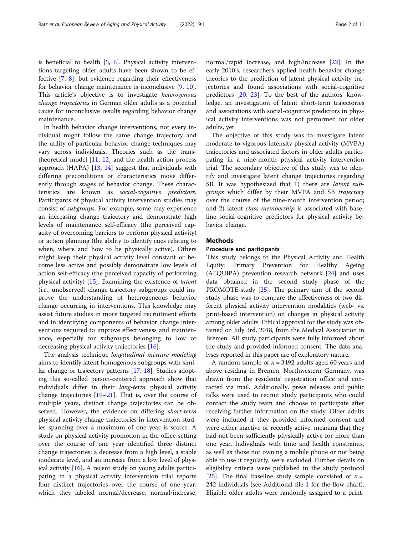is beneficial to health [\[5](#page-9-0), [6\]](#page-9-0). Physical activity interventions targeting older adults have been shown to be effective [\[7](#page-9-0), [8\]](#page-9-0), but evidence regarding their effectiveness for behavior change maintenance is inconclusive [[9,](#page-9-0) [10](#page-9-0)]. This article's objective is to investigate heterogenous change trajectories in German older adults as a potential cause for inconclusive results regarding behavior change maintenance.

In health behavior change interventions, not every individual might follow the same change trajectory and the utility of particular behavior change techniques may vary across individuals. Theories such as the transtheoretical model  $[11, 12]$  $[11, 12]$  $[11, 12]$  $[11, 12]$  $[11, 12]$  and the health action process approach (HAPA) [[13](#page-9-0), [14](#page-9-0)] suggest that individuals with differing preconditions or characteristics move differently through stages of behavior change. These characteristics are known as social-cognitive predictors. Participants of physical activity intervention studies may consist of subgroups. For example, some may experience an increasing change trajectory and demonstrate high levels of maintenance self-efficacy (the perceived capacity of overcoming barriers to perform physical activity) or action planning (the ability to identify cues relating to when, where and how to be physically active). Others might keep their physical activity level constant or become less active and possibly demonstrate low levels of action self-efficacy (the perceived capacity of performing physical activity) [[15\]](#page-9-0). Examining the existence of latent (i.e., unobserved) change trajectory subgroups could improve the understanding of heterogeneous behavior change occurring in interventions. This knowledge may assist future studies in more targeted recruitment efforts and in identifying components of behavior change interventions required to improve effectiveness and maintenance, especially for subgroups belonging to low or decreasing physical activity trajectories [[16](#page-9-0)].

The analysis technique longitudinal mixture modeling aims to identify latent homogenous subgroups with similar change or trajectory patterns [\[17,](#page-9-0) [18](#page-9-0)]. Studies adopting this so-called person-centered approach show that individuals differ in their long-term physical activity change trajectories [[19](#page-9-0)–[21](#page-9-0)]. That is, over the course of multiple years, distinct change trajectories can be observed. However, the evidence on differing *short-term* physical activity change trajectories in intervention studies spanning over a maximum of one year is scarce. A study on physical activity promotion in the office-setting over the course of one year identified three distinct change trajectories: a decrease from a high level, a stable moderate level, and an increase from a low level of physical activity [\[16](#page-9-0)]. A recent study on young adults participating in a physical activity intervention trial reports four distinct trajectories over the course of one year, which they labeled normal/decrease, normal/increase,

normal/rapid increase, and high/increase [\[22\]](#page-9-0). In the early 2010's, researchers applied health behavior change theories to the prediction of latent physical activity trajectories and found associations with social-cognitive predictors [[20,](#page-9-0) [23](#page-9-0)]. To the best of the authors' knowledge, an investigation of latent short-term trajectories and associations with social-cognitive predictors in physical activity interventions was not performed for older adults, yet.

The objective of this study was to investigate latent moderate-to-vigorous intensity physical activity (MVPA) trajectories and associated factors in older adults participating in a nine-month physical activity intervention trial. The secondary objective of this study was to identify and investigate latent change trajectories regarding SB. It was hypothesized that 1) there are latent subgroups which differ by their MVPA and SB trajectory over the course of the nine-month intervention period; and 2) latent *class membership* is associated with baseline social-cognitive predictors for physical activity behavior change.

# Methods

# Procedure and participants

This study belongs to the Physical Activity and Health Equity: Primary Prevention for Healthy Ageing (AEQUIPA) prevention research network [[24](#page-9-0)] and uses data obtained in the second study phase of the PROMOTE-study  $[25]$  $[25]$ . The primary aim of the second study phase was to compare the effectiveness of two different physical activity intervention modalities (web- vs. print-based intervention) on changes in physical activity among older adults. Ethical approval for the study was obtained on July 3rd, 2018, from the Medical Association in Bremen. All study participants were fully informed about the study and provided informed consent. The data analyses reported in this paper are of exploratory nature.

A random sample of  $n = 3492$  adults aged 60 years and above residing in Bremen, Northwestern Germany, was drawn from the residents' registration office and contacted via mail. Additionally, press releases and public talks were used to recruit study participants who could contact the study team and choose to participate after receiving further information on the study. Older adults were included if they provided informed consent and were either inactive or recently active, meaning that they had not been sufficiently physically active for more than one year. Individuals with time and health constraints, as well as those not owning a mobile phone or not being able to use it regularly, were excluded. Further details on eligibility criteria were published in the study protocol [[25\]](#page-9-0). The final baseline study sample consisted of  $n =$ 242 individuals (see Additional file [1](#page-8-0) for the flow chart). Eligible older adults were randomly assigned to a print-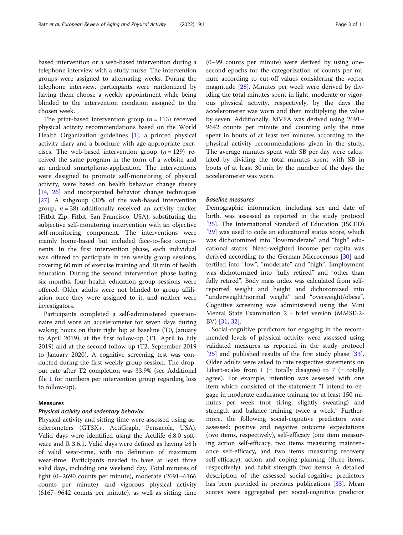based intervention or a web-based intervention during a telephone interview with a study nurse. The intervention groups were assigned to alternating weeks. During the telephone interview, participants were randomized by having them choose a weekly appointment while being blinded to the intervention condition assigned to the chosen week.

The print-based intervention group  $(n = 113)$  received physical activity recommendations based on the World Health Organization guidelines [[1\]](#page-9-0), a printed physical activity diary and a brochure with age-appropriate exercises. The web-based intervention group  $(n = 129)$  received the same program in the form of a website and an android smartphone-application. The interventions were designed to promote self-monitoring of physical activity, were based on health behavior change theory [[14,](#page-9-0) [26\]](#page-9-0) and incorporated behavior change techniques [[27\]](#page-9-0). A subgroup (30% of the web-based intervention group,  $n = 38$ ) additionally received an activity tracker (Fitbit Zip, Fitbit, San Francisco, USA), substituting the subjective self-monitoring intervention with an objective self-monitoring component. The interventions were mainly home-based but included face-to-face components. In the first intervention phase, each individual was offered to participate in ten weekly group sessions, covering 60 min of exercise training and 30 min of health education. During the second intervention phase lasting six months, four health education group sessions were offered. Older adults were not blinded to group affiliation once they were assigned to it, and neither were investigators.

Participants completed a self-administered questionnaire and wore an accelerometer for seven days during waking hours on their right hip at baseline (T0, January to April 2019), at the first follow-up (T1, April to July 2019) and at the second follow-up (T2, September 2019 to January 2020). A cognitive screening test was conducted during the first weekly group session. The dropout rate after T2 completion was 33.9% (see Additional file [1](#page-8-0) for numbers per intervention group regarding loss to follow-up).

# Measures

#### Physical activity and sedentary behavior

Physical activity and sitting time were assessed using accelerometers (GT3X+, ActiGraph, Pensacola, USA). Valid days were identified using the Actilife 6.8.0 software and R 3.6.1. Valid days were defined as having  $\geq 8$  h of valid wear-time, with no definition of maximum wear-time. Participants needed to have at least three valid days, including one weekend day. Total minutes of light (0–2690 counts per minute), moderate (2691–6166 counts per minute), and vigorous physical activity (6167–9642 counts per minute), as well as sitting time

(0–99 counts per minute) were derived by using onesecond epochs for the categorization of counts per minute according to cut-off values considering the vector magnitude  $[28]$  $[28]$ . Minutes per week were derived by dividing the total minutes spent in light, moderate or vigorous physical activity, respectively, by the days the accelerometer was worn and then multiplying the value by seven. Additionally, MVPA was derived using 2691– 9642 counts per minute and counting only the time spent in bouts of at least ten minutes according to the physical activity recommendations given in the study. The average minutes spent with SB per day were calculated by dividing the total minutes spent with SB in bouts of at least 30 min by the number of the days the accelerometer was worn.

# Baseline measures

Demographic information, including sex and date of birth, was assessed as reported in the study protocol [[25\]](#page-9-0). The International Standard of Education (ISCED) [[29\]](#page-9-0) was used to code an educational status score, which was dichotomized into "low/moderate" and "high" educational status. Need-weighted income per capita was derived according to the German Microcensus [[30\]](#page-9-0) and tertiled into "low", "moderate" and "high". Employment was dichotomized into "fully retired" and "other than fully retired". Body mass index was calculated from selfreported weight and height and dichotomized into "underweight/normal weight" and "overweight/obese". Cognitive screening was administered using the Mini Mental State Examination 2 - brief version (MMSE-2- BV) [[31](#page-9-0), [32](#page-9-0)].

Social-cognitive predictors for engaging in the recommended levels of physical activity were assessed using validated measures as reported in the study protocol [[25\]](#page-9-0) and published results of the first study phase [\[33](#page-9-0)]. Older adults were asked to rate respective statements on Likert-scales from  $1$  (= totally disagree) to  $7$  (= totally agree). For example, intention was assessed with one item which consisted of the statement "I intend to engage in moderate endurance training for at least 150 minutes per week (not tiring, slightly sweating) and strength and balance training twice a week." Furthermore, the following social-cognitive predictors were assessed: positive and negative outcome expectations (two items, respectively), self-efficacy (one item measuring action self-efficacy, two items measuring maintenance self-efficacy, and two items measuring recovery self-efficacy), action and coping planning (three items, respectively), and habit strength (two items). A detailed description of the assessed social-cognitive predictors has been provided in previous publications [[33](#page-9-0)]. Mean scores were aggregated per social-cognitive predictor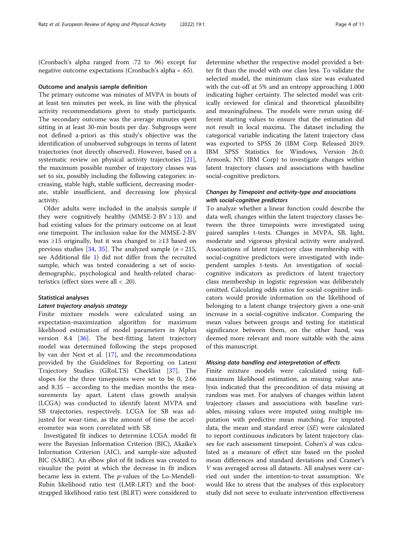(Cronbach's alpha ranged from .72 to .96) except for negative outcome expectations (Cronbach's alpha = .65).

#### Outcome and analysis sample definition

The primary outcome was minutes of MVPA in bouts of at least ten minutes per week, in line with the physical activity recommendations given to study participants. The secondary outcome was the average minutes spent sitting in at least 30-min bouts per day. Subgroups were not defined a-priori as this study's objective was the identification of unobserved subgroups in terms of latent trajectories (not directly observed). However, based on a systematic review on physical activity trajectories [\[21](#page-9-0)], the maximum possible number of trajectory classes was set to six, possibly including the following categories: increasing, stable high, stable sufficient, decreasing moderate, stable insufficient, and decreasing low physical activity.

Older adults were included in the analysis sample if they were cognitively healthy (MMSE-2-BV  $\geq$  13) and had existing values for the primary outcome on at least one timepoint. The inclusion value for the MMSE-2-BV was ≥15 originally, but it was changed to ≥13 based on previous studies [\[34,](#page-9-0) [35\]](#page-10-0). The analyzed sample ( $n = 215$ , see Additional file [1\)](#page-8-0) did not differ from the recruited sample, which was tested considering a set of sociodemographic, psychological and health-related characteristics (effect sizes were all < .20).

# Statistical analyses

## Latent trajectory analysis strategy

Finite mixture models were calculated using an expectation-maximization algorithm for maximum likelihood estimation of model parameters in Mplus version 8.4 [[36](#page-10-0)]. The best-fitting latent trajectory model was determined following the steps proposed by van der Nest et al. [\[17](#page-9-0)], and the recommendations provided by the Guidelines for Reporting on Latent Trajectory Studies (GRoLTS) Checklist [[37\]](#page-10-0). The slopes for the three timepoints were set to be 0, 2.66 and 8.35 – according to the median months the measurements lay apart. Latent class growth analysis (LCGA) was conducted to identify latent MVPA and SB trajectories, respectively. LCGA for SB was adjusted for wear-time, as the amount of time the accelerometer was worn correlated with SB.

Investigated fit indices to determine LCGA model fit were the Bayesian Information Criterion (BIC), Akaike's Information Criterion (AIC), and sample-size adjusted BIC (SABIC). An elbow plot of fit indices was created to visualize the point at which the decrease in fit indices became less in extent. The p-values of the Lo-Mendell-Rubin likelihood ratio test (LMR-LRT) and the bootstrapped likelihood ratio test (BLRT) were considered to

determine whether the respective model provided a better fit than the model with one class less. To validate the selected model, the minimum class size was evaluated with the cut-off at 5% and an entropy approaching 1.000 indicating higher certainty. The selected model was critically reviewed for clinical and theoretical plausibility and meaningfulness. The models were rerun using different starting values to ensure that the estimation did not result in local maxima. The dataset including the categorical variable indicating the latent trajectory class was exported to SPSS 26 (IBM Corp. Released 2019. IBM SPSS Statistics for Windows, Version 26.0. Armonk, NY: IBM Corp) to investigate changes within latent trajectory classes and associations with baseline social-cognitive predictors.

# Changes by Timepoint and activity-type and associations with social-cognitive predictors

To analyze whether a linear function could describe the data well, changes within the latent trajectory classes between the three timepoints were investigated using paired samples t-tests. Changes in MVPA, SB, light, moderate and vigorous physical activity were analyzed. Associations of latent trajectory class membership with social-cognitive predictors were investigated with independent samples t-tests. An investigation of socialcognitive indicators as predictors of latent trajectory class membership in logistic regression was deliberately omitted. Calculating odds ratios for social-cognitive indicators would provide information on the likelihood of belonging to a latent change trajectory given a one-unit increase in a social-cognitive indicator. Comparing the mean values between groups and testing for statistical significance between them, on the other hand, was deemed more relevant and more suitable with the aims of this manuscript.

## Missing data handling and interpretation of effects

Finite mixture models were calculated using fullmaximum likelihood estimation, as missing value analysis indicated that the precondition of data missing at random was met. For analyses of changes within latent trajectory classes and associations with baseline variables, missing values were imputed using multiple imputation with predictive mean matching. For imputed data, the mean and standard error (SE) were calculated to report continuous indicators by latent trajectory classes for each assessment timepoint. Cohen's d was calculated as a measure of effect size based on the pooled mean differences and standard deviations and Cramer's V was averaged across all datasets. All analyses were carried out under the intention-to-treat assumption. We would like to stress that the analyses of this exploratory study did not serve to evaluate intervention effectiveness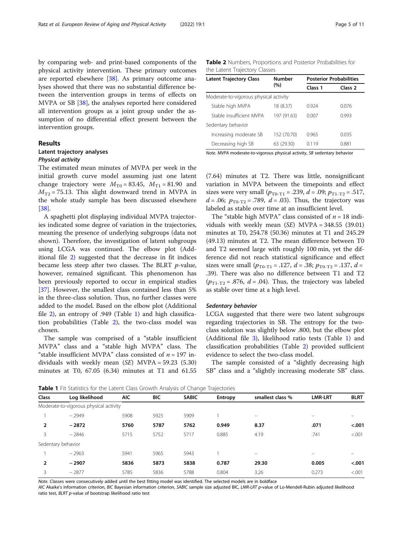by comparing web- and print-based components of the physical activity intervention. These primary outcomes are reported elsewhere [[38\]](#page-10-0). As primary outcome analyses showed that there was no substantial difference between the intervention groups in terms of effects on MVPA or SB [\[38\]](#page-10-0), the analyses reported here considered all intervention groups as a joint group under the assumption of no differential effect present between the intervention groups.

# Results

# Latent trajectory analyses

# Physical activity

The estimated mean minutes of MVPA per week in the initial growth curve model assuming just one latent change trajectory were  $M_{\text{T0}} = 83.45$ ,  $M_{\text{T1}} = 81.90$  and  $M_{T2}$  = 75.13. This slight downward trend in MVPA in the whole study sample has been discussed elsewhere [[38\]](#page-10-0).

A spaghetti plot displaying individual MVPA trajectories indicated some degree of variation in the trajectories, meaning the presence of underlying subgroups (data not shown). Therefore, the investigation of latent subgroups using LCGA was continued. The elbow plot (Additional file [2\)](#page-8-0) suggested that the decrease in fit indices became less steep after two classes. The BLRT  $p$ -value, however, remained significant. This phenomenon has been previously reported to occur in empirical studies [[37\]](#page-10-0). However, the smallest class contained less than 5% in the three-class solution. Thus, no further classes were added to the model. Based on the elbow plot (Additional file [2\)](#page-8-0), an entropy of .949 (Table 1) and high classification probabilities (Table 2), the two-class model was chosen.

The sample was comprised of a "stable insufficient MVPA" class and a "stable high MVPA" class. The "stable insufficient MVPA" class consisted of  $n = 197$  individuals with weekly mean  $(SE)$  MVPA = 59.23 (5.30) minutes at T0, 67.05 (6.34) minutes at T1 and 61.55

Table 2 Numbers, Proportions and Posterior Probabilities for the Latent Trajectory Classes

| <b>Latent Trajectory Class</b>         | Number      | <b>Posterior Probabilities</b> |                    |  |  |  |  |
|----------------------------------------|-------------|--------------------------------|--------------------|--|--|--|--|
|                                        | (%)         | Class 1                        | Class <sub>2</sub> |  |  |  |  |
| Moderate-to-vigorous physical activity |             |                                |                    |  |  |  |  |
| Stable high MVPA                       | 18 (8.37)   | 0924                           | 0076               |  |  |  |  |
| Stable insufficient MVPA               | 197 (91.63) | 0.007                          | 0.993              |  |  |  |  |
| Sedentary behavior                     |             |                                |                    |  |  |  |  |
| Increasing moderate SB                 | 152 (70.70) | 0.965                          | 0.035              |  |  |  |  |
| Decreasing high SB                     | 63 (29.30)  | 0119                           | 0.881              |  |  |  |  |

Note. MVPA moderate-to-vigorous physical activity, SB sedentary behavior

(7.64) minutes at T2. There was little, nonsignificant variation in MVPA between the timepoints and effect sizes were very small  $(p_{T0-T1} = .239, d = .09; p_{T1-T2} = .517,$  $d = .06$ ;  $p_{\text{T0-T2}} = .789$ ,  $d = .03$ ). Thus, the trajectory was labeled as stable over time at an insufficient level.

The "stable high MVPA" class consisted of  $n = 18$  individuals with weekly mean  $(SE)$  MVPA = 348.55 (39.01) minutes at T0, 254.78 (50.36) minutes at T1 and 245.29 (49.13) minutes at T2. The mean difference between T0 and T2 seemed large with roughly 100 min, yet the difference did not reach statistical significance and effect sizes were small  $(p_{\text{T0-T1}} = .127, d = .38; p_{\text{T0-T2}} = .137, d =$ .39). There was also no difference between T1 and T2  $(p_{T1-T2} = .876, d = .04)$ . Thus, the trajectory was labeled as stable over time at a high level.

# Sedentary behavior

LCGA suggested that there were two latent subgroups regarding trajectories in SB. The entropy for the twoclass solution was slightly below .800, but the elbow plot (Additional file [3\)](#page-8-0), likelihood ratio tests (Table 1) and classification probabilities (Table 2) provided sufficient evidence to select the two-class model.

The sample consisted of a "slightly decreasing high SB" class and a "slightly increasing moderate SB" class.

Table 1 Fit Statistics for the Latent Class Growth Analysis of Change Trajectories

| Class          | Log likelihood                         | <b>AIC</b> | <b>BIC</b> | <b>SABIC</b> | Entropy | smallest class % | <b>LMR-LRT</b> | <b>BLRT</b> |
|----------------|----------------------------------------|------------|------------|--------------|---------|------------------|----------------|-------------|
|                | Moderate-to-vigorous physical activity |            |            |              |         |                  |                |             |
|                | $-2949$                                | 5908       | 5925       | 5909         |         |                  |                |             |
| $\overline{2}$ | $-2872$                                | 5760       | 5787       | 5762         | 0.949   | 8.37             | .071           | < .001      |
|                | $-2846$                                | 5715       | 5752       | 5717         | 0.885   | 4.19             | .741           | < 0.001     |
|                | Sedentary behavior                     |            |            |              |         |                  |                |             |
|                | $-2963$                                | 5941       | 5965       | 5943         |         | -                |                |             |
| $\overline{2}$ | $-2907$                                | 5836       | 5873       | 5838         | 0.787   | 29.30            | 0.005          | < .001      |
| 3              | $-2877$                                | 5785       | 5836       | 5788         | 0.804   | 3.26             | 0.273          | < 0.001     |
|                |                                        |            |            |              |         |                  |                |             |

Note. Classes were consecutively added until the best fitting model was identified. The selected models are in boldface

AIC Akaike's information criterion, BIC Bayesian information criterion, SABIC sample size adjusted BIC, LMR-LRT p-value of Lo-Mendell-Rubin adjusted likelihood ratio test, BLRT p-value of bootstrap likelihood ratio test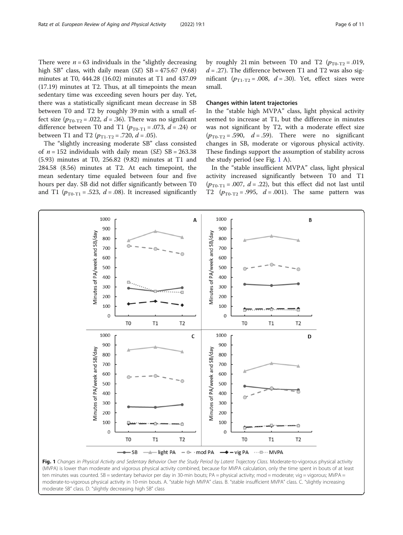<span id="page-5-0"></span>There were  $n = 63$  individuals in the "slightly decreasing" high SB" class, with daily mean  $(SE)$  SB = 475.67 (9.68) minutes at T0, 444.28 (16.02) minutes at T1 and 437.09 (17.19) minutes at T2. Thus, at all timepoints the mean sedentary time was exceeding seven hours per day. Yet, there was a statistically significant mean decrease in SB between T0 and T2 by roughly 39 min with a small effect size  $(p_{\text{TO-T2}} = .022, d = .36)$ . There was no significant difference between T0 and T1 ( $p_{\text{TO-T1}}$  = .073, d = .24) or between T1 and T2 ( $p_{T1-T2}$  = .720,  $d$  = .05).

The "slightly increasing moderate SB" class consisted of  $n = 152$  individuals with daily mean (SE) SB = 263.38 (5.93) minutes at T0, 256.82 (9.82) minutes at T1 and 284.58 (8.56) minutes at T2. At each timepoint, the mean sedentary time equaled between four and five hours per day. SB did not differ significantly between T0 and T1 ( $p_{\text{To-T1}}$  = .523, d = .08). It increased significantly

by roughly 21 min between T0 and T2  $(p_{T0-T2} = .019,$  $d = 0.27$ . The difference between T1 and T2 was also significant  $(p_{T1-T2} = .008, d = .30)$ . Yet, effect sizes were small.

# Changes within latent trajectories

In the "stable high MVPA" class, light physical activity seemed to increase at T1, but the difference in minutes was not significant by T2, with a moderate effect size  $(p_{\text{TO-T2}} = .590, \quad d = .59)$ . There were no significant changes in SB, moderate or vigorous physical activity. These findings support the assumption of stability across the study period (see Fig.  $1 \text{ A}$ ).

In the "stable insufficient MVPA" class, light physical activity increased significantly between T0 and T1  $(p_{\text{To-T1}} = .007, d = .22)$ , but this effect did not last until T2  $(p_{T0-T2} = .995, d = .001)$ . The same pattern was



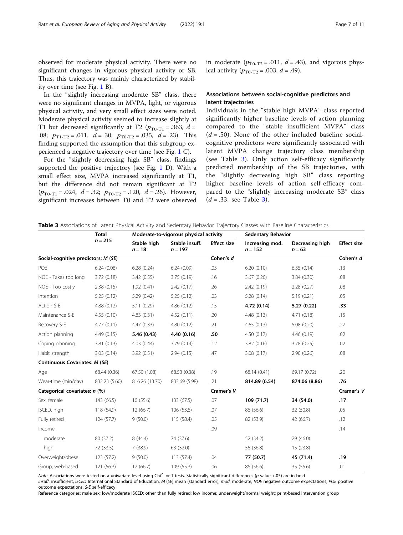observed for moderate physical activity. There were no significant changes in vigorous physical activity or SB. Thus, this trajectory was mainly characterized by stability over time (see Fig. [1](#page-5-0) B).

In the "slightly increasing moderate SB" class, there were no significant changes in MVPA, light, or vigorous physical activity, and very small effect sizes were noted. Moderate physical activity seemed to increase slightly at T1 but decreased significantly at T2 ( $p_{\text{TO-T1}}$  = .363, d = .08;  $p_{T1-T2} = .011$ ,  $d = .30$ ;  $p_{T0-T2} = .035$ ,  $d = .23$ ). This finding supported the assumption that this subgroup experienced a negative trajectory over time (see Fig. [1](#page-5-0) C).

For the "slightly decreasing high SB" class, findings supported the positive trajectory (see Fig. [1](#page-5-0) D). With a small effect size, MVPA increased significantly at T1, but the difference did not remain significant at T2  $(p_{\text{T0-T1}} = .024, d = .32; p_{\text{T0-T2}} = .120, d = .26)$ . However, significant increases between T0 and T2 were observed

in moderate  $(p_{T0-T2} = .011, d = .43)$ , and vigorous physical activity  $(p_{\text{T}_0} - 0.003, d = .49)$ .

# Associations between social-cognitive predictors and latent trajectories

Individuals in the "stable high MVPA" class reported significantly higher baseline levels of action planning compared to the "stable insufficient MVPA" class  $(d = .50)$ . None of the other included baseline socialcognitive predictors were significantly associated with latent MVPA change trajectory class membership (see Table 3). Only action self-efficacy significantly predicted membership of the SB trajectories, with the "slightly decreasing high SB" class reporting higher baseline levels of action self-efficacy compared to the "slightly increasing moderate SB" class  $(d = .33,$  see Table 3).

|  |  | Table 3 Associations of Latent Physical Activity and Sedentary Behavior Traiectory Classes with Baseline Characteristics |  |  |  |  |  |  |  |  |
|--|--|--------------------------------------------------------------------------------------------------------------------------|--|--|--|--|--|--|--|--|
|--|--|--------------------------------------------------------------------------------------------------------------------------|--|--|--|--|--|--|--|--|

|                                      | <b>Total</b>  |                                                        | Moderate-to-vigorous physical activity |                    | <b>Sedentary Behavior</b>    |                             |                    |  |
|--------------------------------------|---------------|--------------------------------------------------------|----------------------------------------|--------------------|------------------------------|-----------------------------|--------------------|--|
|                                      | $n = 215$     | Stable high<br>Stable insuff.<br>$n = 18$<br>$n = 197$ |                                        | <b>Effect size</b> | Increasing mod.<br>$n = 152$ | Decreasing high<br>$n = 63$ | <b>Effect size</b> |  |
| Social-cognitive predictors: M (SE)  |               |                                                        | Cohen's d                              |                    |                              | Cohen's d                   |                    |  |
| POE                                  | 6.24(0.08)    | 6.28(0.24)                                             | 6.24(0.09)                             | .03                | 6.20(0.10)                   | 6.35(0.14)                  | .13                |  |
| NOE - Takes too long                 | 3.72(0.18)    | 3.42(0.55)                                             | 3.75(0.19)                             | .16                | 3.67(0.20)                   | 3.84(0.30)                  | .08                |  |
| NOE - Too costly                     | 2.38(0.15)    | 1.92(0.41)                                             | 2.42(0.17)                             | .26                | 2.42(0.19)                   | 2.28(0.27)                  | .08                |  |
| Intention                            | 5.25(0.12)    | 5.29(0.42)                                             | 5.25(0.12)                             | .03                | 5.28(0.14)                   | 5.19(0.21)                  | .05                |  |
| Action S-E                           | 4.88(0.12)    | 5.11(0.29)                                             | 4.86(0.12)                             | .15                | 4.72 (0.14)                  | 5.27(0.22)                  | .33                |  |
| Maintenance S-E                      | 4.55(0.10)    | 4.83(0.31)                                             | 4.52(0.11)                             | .20                | 4.48(0.13)                   | 4.71(0.18)                  | .15                |  |
| Recovery S-E                         | 4.77(0.11)    | 4.47(0.33)                                             | 4.80(0.12)                             | .21                | 4.65(0.13)                   | 5.08(0.20)                  | .27                |  |
| Action planning                      | 4.49(0.15)    | 5.46 (0.43)                                            | 4.40 (0.16)                            | .50                | 4.50(0.17)                   | 4.46(0.19)                  | .02                |  |
| Coping planning                      | 3.81(0.13)    | 4.03(0.44)                                             | 3.79(0.14)                             | .12                | 3.82(0.16)                   | 3.78(0.25)                  | .02                |  |
| Habit strength                       | 3.03(0.14)    | 3.92(0.51)                                             | 2.94(0.15)                             | .47                | 3.08(0.17)                   | 2.90(0.26)                  | .08                |  |
| <b>Continuous Covariates: M (SE)</b> |               |                                                        |                                        |                    |                              |                             |                    |  |
| Age                                  | 68.44 (0.36)  | 67.50 (1.08)                                           | 68.53 (0.38)                           | .19                | 68.14 (0.41)                 | 69.17 (0.72)                | .20                |  |
| Wear-time (min/day)                  | 832.23 (5.60) | 816.26 (13.70)                                         | 833.69 (5.98)                          | .21                | 814.89 (6.54)                | 874.06 (8.86)               | .76                |  |
| Categorical covariates: n (%)        |               |                                                        | Cramer's V                             |                    |                              | Cramer's V                  |                    |  |
| Sex, female                          | 143 (66.5)    | 10(55.6)                                               | 133 (67.5)                             | .07                | 109 (71.7)                   | 34 (54.0)                   | .17                |  |
| ISCED, high                          | 118 (54.9)    | 12(66.7)                                               | 106 (53.8)                             | .07                | 86 (56.6)                    | 32 (50.8)                   | .05                |  |
| Fully retired                        | 124(57.7)     | 9(50.0)                                                | 115 (58.4)                             | .05                | 82 (53.9)                    | 42 (66.7)                   | .12                |  |
| Income                               |               |                                                        |                                        | .09                |                              |                             | .14                |  |
| moderate                             | 80 (37.2)     | 8(44.4)                                                | 74 (37.6)                              |                    | 52 (34.2)                    | 29(46.0)                    |                    |  |
| high                                 | 72 (33.5)     | 7(38.9)                                                | 63 (32.0)                              |                    | 56 (36.8)                    | 15(23.8)                    |                    |  |
| Overweight/obese                     | 123 (57.2)    | 9(50.0)                                                | 113 (57.4)                             | .04                | 77 (50.7)                    | 45 (71.4)                   | .19                |  |
| Group, web-based                     | 121 (56.3)    | 12(66.7)                                               | 109 (55.3)                             | .06                | 86 (56.6)                    | 35 (55.6)                   | .01                |  |

Note. Associations were tested on a univariate level using Chi<sup>2</sup>- or T-tests. Statistically significant differences (p-value <.05) are in bold

insuff. insufficient, ISCED International Standard of Education, M (SE) mean (standard error), mod. moderate, NOE negative outcome expectations, POE positive outcome expectations, S-E self-efficacy

Reference categories: male sex; low/moderate ISCED; other than fully retired; low income; underweight/normal weight; print-based intervention group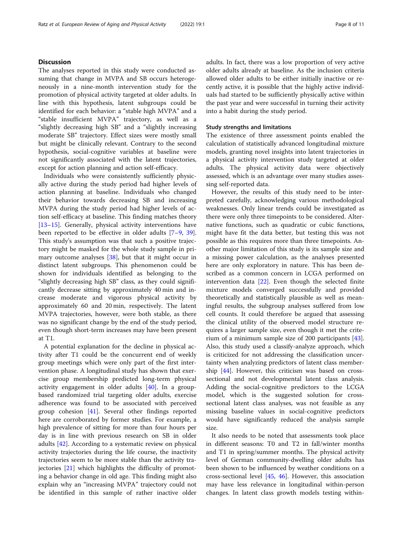# **Discussion**

The analyses reported in this study were conducted assuming that change in MVPA and SB occurs heterogeneously in a nine-month intervention study for the promotion of physical activity targeted at older adults. In line with this hypothesis, latent subgroups could be identified for each behavior: a "stable high MVPA" and a "stable insufficient MVPA" trajectory, as well as a "slightly decreasing high SB" and a "slightly increasing moderate SB" trajectory. Effect sizes were mostly small but might be clinically relevant. Contrary to the second hypothesis, social-cognitive variables at baseline were not significantly associated with the latent trajectories, except for action planning and action self-efficacy.

Individuals who were consistently sufficiently physically active during the study period had higher levels of action planning at baseline. Individuals who changed their behavior towards decreasing SB and increasing MVPA during the study period had higher levels of action self-efficacy at baseline. This finding matches theory [[13](#page-9-0)–[15](#page-9-0)]. Generally, physical activity interventions have been reported to be effective in older adults [\[7](#page-9-0)–[9,](#page-9-0) [39](#page-10-0)]. This study's assumption was that such a positive trajectory might be masked for the whole study sample in primary outcome analyses [\[38](#page-10-0)], but that it might occur in distinct latent subgroups. This phenomenon could be shown for individuals identified as belonging to the "slightly decreasing high SB" class, as they could significantly decrease sitting by approximately 40 min and increase moderate and vigorous physical activity by approximately 60 and 20 min, respectively. The latent MVPA trajectories, however, were both stable, as there was no significant change by the end of the study period, even though short-term increases may have been present at T1.

A potential explanation for the decline in physical activity after T1 could be the concurrent end of weekly group meetings which were only part of the first intervention phase. A longitudinal study has shown that exercise group membership predicted long-term physical activity engagement in older adults [[40](#page-10-0)]. In a groupbased randomized trial targeting older adults, exercise adherence was found to be associated with perceived group cohesion [\[41](#page-10-0)]. Several other findings reported here are corroborated by former studies. For example, a high prevalence of sitting for more than four hours per day is in line with previous research on SB in older adults [\[42](#page-10-0)]. According to a systematic review on physical activity trajectories during the life course, the inactivity trajectories seem to be more stable than the activity trajectories [[21\]](#page-9-0) which highlights the difficulty of promoting a behavior change in old age. This finding might also explain why an "increasing MVPA" trajectory could not be identified in this sample of rather inactive older

adults. In fact, there was a low proportion of very active older adults already at baseline. As the inclusion criteria allowed older adults to be either initially inactive or recently active, it is possible that the highly active individuals had started to be sufficiently physically active within the past year and were successful in turning their activity into a habit during the study period.

# Study strengths and limitations

The existence of three assessment points enabled the calculation of statistically advanced longitudinal mixture models, granting novel insights into latent trajectories in a physical activity intervention study targeted at older adults. The physical activity data were objectively assessed, which is an advantage over many studies assessing self-reported data.

However, the results of this study need to be interpreted carefully, acknowledging various methodological weaknesses. Only linear trends could be investigated as there were only three timepoints to be considered. Alternative functions, such as quadratic or cubic functions, might have fit the data better, but testing this was not possible as this requires more than three timepoints. Another major limitation of this study is its sample size and a missing power calculation, as the analyses presented here are only exploratory in nature. This has been described as a common concern in LCGA performed on intervention data [\[22](#page-9-0)]. Even though the selected finite mixture models converged successfully and provided theoretically and statistically plausible as well as meaningful results, the subgroup analyses suffered from low cell counts. It could therefore be argued that assessing the clinical utility of the observed model structure requires a larger sample size, even though it met the criterium of a minimum sample size of 200 participants [\[43](#page-10-0)]. Also, this study used a classify-analyze approach, which is criticized for not addressing the classification uncertainty when analyzing predictors of latent class membership [\[44](#page-10-0)]. However, this criticism was based on crosssectional and not developmental latent class analysis. Adding the social-cognitive predictors to the LCGA model, which is the suggested solution for crosssectional latent class analyses, was not feasible as any missing baseline values in social-cognitive predictors would have significantly reduced the analysis sample size.

It also needs to be noted that assessments took place in different seasons: T0 and T2 in fall/winter months and T1 in spring/summer months. The physical activity level of German community-dwelling older adults has been shown to be influenced by weather conditions on a cross-sectional level [\[45](#page-10-0), [46\]](#page-10-0). However, this association may have less relevance in longitudinal within-person changes. In latent class growth models testing within-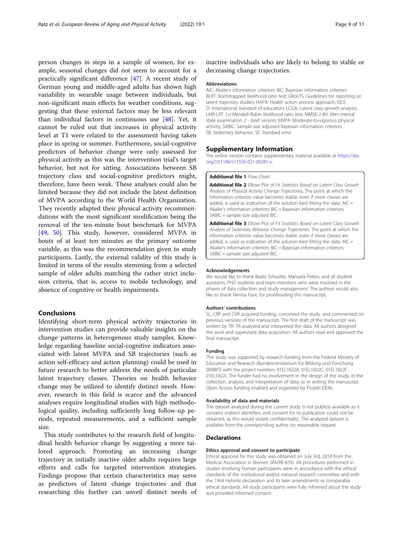<span id="page-8-0"></span>person changes in steps in a sample of women, for example, seasonal changes did not seem to account for a practically significant difference [\[47](#page-10-0)]. A recent study of German young and middle-aged adults has shown high variability in wearable usage between individuals, but non-significant main effects for weather conditions, suggesting that these external factors may be less relevant than individual factors in continuous use [[48](#page-10-0)]. Yet, it cannot be ruled out that increases in physical activity level at T1 were related to the assessment having taken place in spring or summer. Furthermore, social-cognitive predictors of behavior change were only assessed for physical activity as this was the intervention trial's target behavior, but not for sitting. Associations between SB trajectory class and social-cognitive predictors might, therefore, have been weak. These analyses could also be limited because they did not include the latest definition of MVPA according to the World Health Organization. They recently adapted their physical activity recommendations with the most significant modification being the removal of the ten-minute bout benchmark for MVPA [[49,](#page-10-0) [50\]](#page-10-0). This study, however, considered MVPA in bouts of at least ten minutes as the primary outcome variable, as this was the recommendation given to study participants. Lastly, the external validity of this study is limited in terms of the results stemming from a selected sample of older adults matching the rather strict inclusion criteria, that is, access to mobile technology, and absence of cognitive or health impairments.

# Conclusions

Identifying short-term physical activity trajectories in intervention studies can provide valuable insights on the change patterns in heterogenous study samples. Knowledge regarding baseline social-cognitive indicators associated with latent MVPA and SB trajectories (such as action self-efficacy and action planning) could be used in future research to better address the needs of particular latent trajectory classes. Theories on health behavior change may be utilized to identify distinct needs. However, research in this field is scarce and the advanced analyses require longitudinal studies with high methodological quality, including sufficiently long follow-up periods, repeated measurements, and a sufficient sample size.

This study contributes to the research field of longitudinal health behavior change by suggesting a more tailored approach. Promoting an increasing change trajectory in initially inactive older adults requires large efforts and calls for targeted intervention strategies. Findings propose that certain characteristics may serve as predictors of latent change trajectories and that researching this further can unveil distinct needs of

inactive individuals who are likely to belong to stable or decreasing change trajectories.

# Abbreviations

AIC: Akaike's information criterion; BIC: Bayesian information criterion; BLRT: Bootstrapped likelihood ratio test; GRoLTS: Guidelines for reporting on latent trajectory studies; HAPA: Health action process approach; ISCE D: International standard of education; LCGA: Latent class growth analysis; LMR-LRT: Lo-Mendell-Rubin likelihood ratio test; MMSE-2-BV: Mini mental state examination 2 - brief version; MVPA: Moderate-to-vigorous physical activity; SABIC: Sample-size adjusted Bayesian information criterion; SB: Sedentary behavior; SE: Standard error

# Supplementary Information

The online version contains supplementary material available at [https://doi.](https://doi.org/10.1186/s11556-021-00281-x) [org/10.1186/s11556-021-00281-x](https://doi.org/10.1186/s11556-021-00281-x).

#### Additional file 1 Flow Chart.

Additional file 2 Elbow Plot of Fit Statistics Based on Latent Class Growth Analysis of Physical Activity Change Trajectories. The point at which the information criterion value becomes stable, even if more classes are added, is used as indication of the solution best fitting the data.  $AIC =$ Akaike's information criterion; BIC = Bayesian information criterion; SABIC = sample size adjusted BIC.

Additional file 3 Elbow Plot of Fit Statistics Based on Latent Class Growth Analysis of Sedentary Behavior Change Trajectories. The point at which the information criterion value becomes stable, even if more classes are added, is used as indication of the solution best fitting the data.  $AIC =$ Akaike's information criterion; BIC = Bayesian information criterion;  $SABIC =$ sample size adjusted BIC.

#### Acknowledgements

We would like to thank Beate Schuette, Manuela Peters, and all student assistants, PhD students and team members who were involved in the phases of data collection and study management. The authors would also like to thank Nerma Pasic for proofreading this manuscript.

# Authors' contributions

SL, CRP and CVR acquired funding, conceived the study, and commented on previous versions of the manuscript. The first draft of the manuscript was written by TR. TR analyzed and interpreted the data. All authors designed the work and supervised data acquisition. All authors read and approved the final manuscript.

# Funding

This study was supported by research funding from the Federal Ministry of Education and Research (Bundesministerium für Bildung und Forschung (BMBF)) with the project numbers 01EL1822A, 01EL1822C, 01EL1822F, 01EL1822I. The funder had no involvement in the design of the study, in the collection, analysis, and interpretation of data, or in writing the manuscript. Open Access funding enabled and organized by Projekt DEAL.

# Availability of data and materials

The dataset analyzed during the current study is not publicly available as it contains indirect identifiers and consent for its publication could not be obtained, as this would violate confidentiality. The analyzed dataset is available from the corresponding author on reasonable request.

# Declarations

#### Ethics approval and consent to participate

Ethical approval for this study was obtained on July 3rd, 2018 from the Medical Association in Bremen (RA/RE-635). All procedures performed in studies involving human participants were in accordance with the ethical standards of the institutional and/or national research committee and with the 1964 Helsinki declaration and its later amendments or comparable ethical standards. All study participants were fully informed about the study and provided informed consent.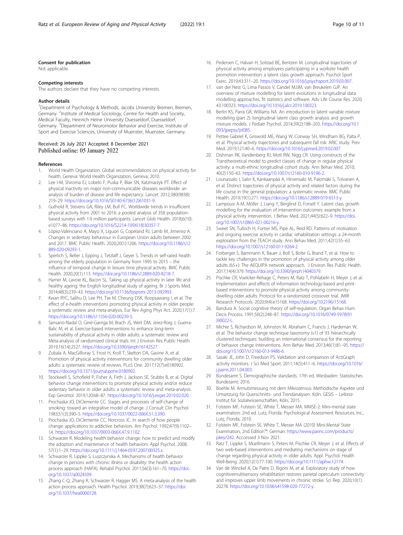# <span id="page-9-0"></span>Consent for publication

Not applicable.

#### Competing interests

The authors declare that they have no competing interests.

#### Author details

<sup>1</sup>Department of Psychology & Methods, Jacobs University Bremen, Bremen, Germany. <sup>2</sup>Institute of Medical Sociology, Centre for Health and Society, Medical Faculty, Heinrich Heine University Duesseldorf, Duesseldorf, Germany. <sup>3</sup>Department of Neuromotor Behavior and Exercise, Institute of Sport and Exercise Sciences, University of Muenster, Muenster, Germany.

# Received: 26 July 2021 Accepted: 8 December 2021 Published online: 05 January 2022

#### References

- 1. World Health Organization. Global recommendations on physical activity for health. Geneva: World Health Organization, Geneva; 2010.
- Lee I-M, Shiroma EJ, Lobelo F, Puska P, Blair SN, Katzmarzyk PT. Effect of physical inactivity on major non-communicable diseases worldwide: an analysis of burden of disease and life expectancy. Lancet. 2012;380(9838): 219–29. [https://doi.org/10.1016/S0140-6736\(12\)61031-9.](https://doi.org/10.1016/S0140-6736(12)61031-9)
- Guthold R, Stevens GA, Riley LM, Bull FC. Worldwide trends in insufficient physical activity from 2001 to 2016: a pooled analysis of 358 populationbased surveys with 1·9 million participants. Lancet Glob Health. 2018;6(10): e1077–86. [https://doi.org/10.1016/S2214-109X\(18\)30357-7.](https://doi.org/10.1016/S2214-109X(18)30357-7)
- 4. López-Valenciano A, Mayo X, Liguori G, Copeland RJ, Lamb M, Jimenez A. Changes in sedentary behaviour in European Union adults between 2002 and 2017. BMC Public Health. 2020;20(1):1206. [https://doi.org/10.1186/s12](https://doi.org/10.1186/s12889-020-09293-1) [889-020-09293-1.](https://doi.org/10.1186/s12889-020-09293-1)
- 5. Sperlich S, Beller J, Epping J, Tetzlaff J, Geyer S. Trends in self-rated health among the elderly population in Germany from 1995 to 2015 – the influence of temporal change in leisure time physical activity. BMC Public Health. 2020;20(1):113. <https://doi.org/10.1186/s12889-020-8218-7>.
- 6. Hamer M, Lavoie KL, Bacon SL. Taking up physical activity in later life and healthy ageing: the English longitudinal study of ageing. Br J Sports Med. 2014;48(3):239–43. [https://doi.org/10.1136/bjsports-2013-092993.](https://doi.org/10.1136/bjsports-2013-092993)
- 7. Kwan RYC, Salihu D, Lee PH, Tse M, Cheung DSK, Roopsawang I, et al. The effect of e-health interventions promoting physical activity in older people: a systematic review and meta-analysis. Eur Rev Aging Phys Act. 2020;17(1):7. [https://doi.org/10.1186/s11556-020-00239-5.](https://doi.org/10.1186/s11556-020-00239-5)
- 8. Sansano-Nadal O, Giné-Garriga M, Brach JS, Wert DM, Jerez-Roig J, Guerra-Balic M, et al. Exercise-based interventions to enhance long-term sustainability of physical activity in older adults: a systematic review and Meta-analysis of randomized clinical trials. Int J Environ Res Public Health. 2019;16(14):2527. [https://doi.org/10.3390/ijerph16142527.](https://doi.org/10.3390/ijerph16142527)
- Zubala A, MacGillivray S, Frost H, Kroll T, Skelton DA, Gavine A, et al. Promotion of physical activity interventions for community dwelling older adults: a systematic review of reviews. PLoS One. 2017;12(7):e0180902. [https://doi.org/10.1371/journal.pone.0180902.](https://doi.org/10.1371/journal.pone.0180902)
- 10. Stockwell S, Schofield P, Fisher A, Firth J, Jackson SE, Stubbs B, et al. Digital behavior change interventions to promote physical activity and/or reduce sedentary behavior in older adults: a systematic review and meta-analysis. Exp Gerontol. 2019;120:68–87. [https://doi.org/10.1016/j.exger.2019.02.020.](https://doi.org/10.1016/j.exger.2019.02.020)
- 11. Prochaska JO, DiClemente CC. Stages and processes of self-change of smoking: toward an integrative model of change. J Consult Clin Psychol. 1983;51(3):390–5. <https://doi.org/10.1037/0022-006X.51.3.390>.
- 12. Prochaska JO, DiClemente CC, Norcross JC. In search of how people change: applications to addictive behaviors. Am Psychol. 1992;47(9):1102– 14. <https://doi.org/10.1037/0003-066X.47.9.1102>.
- 13. Schwarzer R. Modeling health behavior change: how to predict and modify the adoption and maintenance of health behaviors. Appl Psychol. 2008; 57(1):1–29. [https://doi.org/10.1111/j.1464-0597.2007.00325.x.](https://doi.org/10.1111/j.1464-0597.2007.00325.x)
- 14. Schwarzer R, Lippke S, Luszczynska A. Mechanisms of health behavior change in persons with chronic illness or disability: the health action process approach (HAPA). Rehabil Psychol. 2011;56(3):161–70. [https://doi.](https://doi.org/10.1037/a0024509) [org/10.1037/a0024509](https://doi.org/10.1037/a0024509).
- 15. Zhang C-Q, Zhang R, Schwarzer R, Hagger MS. A meta-analysis of the health action process approach. Health Psychol. 2019;38(7):623–37. [https://doi.](https://doi.org/10.1037/hea0000728) [org/10.1037/hea0000728](https://doi.org/10.1037/hea0000728).
- 16. Pedersen C, Halvari H, Solstad BE, Bentzen M. Longitudinal trajectories of physical activity among employees participating in a worksite health promotion intervention: a latent class growth approach. Psychol Sport Exerc. 2019;43:311–20. [https://doi.org/10.1016/j.psychsport.2019.03.007.](https://doi.org/10.1016/j.psychsport.2019.03.007)
- 17. van der Nest G, Lima Passos V, Candel MJJM, van Breukelen GJP. An overview of mixture modelling for latent evolutions in longitudinal data: modelling approaches, fit statistics and software. Adv Life Course Res. 2020; 43:100323. [https://doi.org/10.1016/j.alcr.2019.100323.](https://doi.org/10.1016/j.alcr.2019.100323)
- 18. Berlin KS, Parra GR, Williams NA. An introduction to latent variable mixture modeling (part 2): longitudinal latent class growth analysis and growth mixture models. J Pediatr Psychol. 2014;39(2):188–203. [https://doi.org/10.1](https://doi.org/10.1093/jpepsy/jst085) [093/jpepsy/jst085.](https://doi.org/10.1093/jpepsy/jst085)
- 19. Pettee Gabriel K, Griswold ME, Wang W, Conway SH, Windham BG, Palta P, et al. Physical activity trajectories and subsequent fall risk: ARIC study. Prev Med. 2019;121:40–6. <https://doi.org/10.1016/j.ypmed.2019.02.007>.
- 20. Dishman RK, Vandenberg RJ, Motl RW, Nigg CR. Using constructs of the Transtheoretical model to predict classes of change in regular physical activity: a multi-ethnic longitudinal cohort study. Ann Behav Med. 2010; 40(2):150–63. <https://doi.org/10.1007/s12160-010-9196-2>.
- 21. Lounassalo I, Salin K, Kankaanpää A, Hirvensalo M, Palomäki S, Tolvanen A, et al. Distinct trajectories of physical activity and related factors during the life course in the general population: a systematic review. BMC Public Health. 2019;19(1):271. <https://doi.org/10.1186/s12889-019-6513-y>.
- 22. Lampousi A-M, Möller J, Liang Y, Berglind D, Forsell Y. Latent class growth modelling for the evaluation of intervention outcomes: example from a physical activity intervention. J Behav Med. 2021;44(5):622–9. [https://doi.](https://doi.org/10.1007/s10865-021-00216-y) [org/10.1007/s10865-021-00216-y](https://doi.org/10.1007/s10865-021-00216-y).
- 23. Sweet SN, Tulloch H, Fortier MS, Pipe AL, Reid RD. Patterns of motivation and ongoing exercise activity in cardiac rehabilitation settings: a 24-month exploration from the TEACH study. Ann Behav Med. 2011;42(1):55–63. <https://doi.org/10.1007/s12160-011-9264-2>.
- 24. Forberger S, Bammann K, Bauer J, Boll S, Bolte G, Brand T, et al. How to tackle key challenges in the promotion of physical activity among older adults (65+): The AEQUIPA network approach. J Environ Res Public Health. 2017;14(4):379. [https://doi.org/10.3390/ijerph14040379.](https://doi.org/10.3390/ijerph14040379)
- 25. Pischke CR, Voelcker-Rehage C, Peters M, Ratz T, Pohlabeln H, Meyer J, et al. Implementation and effects of information technology-based and printbased interventions to promote physical activity among communitydwelling older adults: Protocol for a randomized crossover trial. JMIR Research Protocols. 2020;9(4):e15168. <https://doi.org/10.2196/15168>.
- 26. Bandura A. Social cognitive theory of self-regulation. Organ Behav Hum Decis Process. 1991;50(2):248–87. [https://doi.org/10.1016/0749-5978\(91](https://doi.org/10.1016/0749-5978(91)90022-L) [\)90022-L.](https://doi.org/10.1016/0749-5978(91)90022-L)
- 27. Michie S, Richardson M, Johnston M, Abraham C, Francis J, Hardeman W, et al. The behavior change technique taxonomy (v1) of 93 hierarchically clustered techniques: building an international consensus for the reporting of behavior change interventions. Ann Behav Med. 2013;46(1):81–95. [https://](https://doi.org/10.1007/s12160-013-9486-6) [doi.org/10.1007/s12160-013-9486-6.](https://doi.org/10.1007/s12160-013-9486-6)
- 28. Sasaki JE, John D, Freedson PS. Validation and comparison of ActiGraph activity monitors. J Sci Med Sport. 2011;14(5):411–6. [https://doi.org/10.1016/](https://doi.org/10.1016/j.jsams.2011.04.003) [j.jsams.2011.04.003](https://doi.org/10.1016/j.jsams.2011.04.003).
- 29. Bundesamt S. Demographische standards. 17th ed. Wiesbaden: Statistisches Bundesamt; 2016.
- 30. Boehle M. Armutsmessung mit dem Mikrozensus: Methodische Aspekte und Umsetzung für Querschnitts- und Trendanalysen. Köln: GESIS – Leibniz-Institut für Sozialwissenschaften, Köln; 2015.
- 31. Folstein MF, Folstein SE, White T, Messer MA. MMSE-2: Mini-mental state examination. 2nd ed. Lutz, Florida: Psychological Assessment Resources, Inc., Lutz, Florida; 2010.
- 32. Folstein MF, Folstein SE, White T, Messer MA (2010) Mini-Mental State Examination, 2nd Edition™: German. [https://www.parinc.com/products/](https://www.parinc.com/products/pkey/242) [pkey/242.](https://www.parinc.com/products/pkey/242) Acccessed 3 Nov 2021.
- 33. Ratz T, Lippke S, Muellmann S, Peters M, Pischke CR, Meyer J, et al. Effects of two web‐based interventions and mediating mechanisms on stage of change regarding physical activity in older adults. Appl. Psychol. Health Well-Being. 2020;12(1):77-100. <https://doi.org/10.1111/aphw.12174>.
- 34. Van de Winckel A, De Patre D, Rigoni M, et al. Exploratory study of how cognitivemultisensory rehabilitation restores parietal operculum connectivity and improves upper limb movements in chronic stroke. Sci Rep. 2020;10(1): 20278. [https://doi.org/10.1038/s41598-020-77272-y.](https://doi.org/10.1038/s41598-020-77272-y)